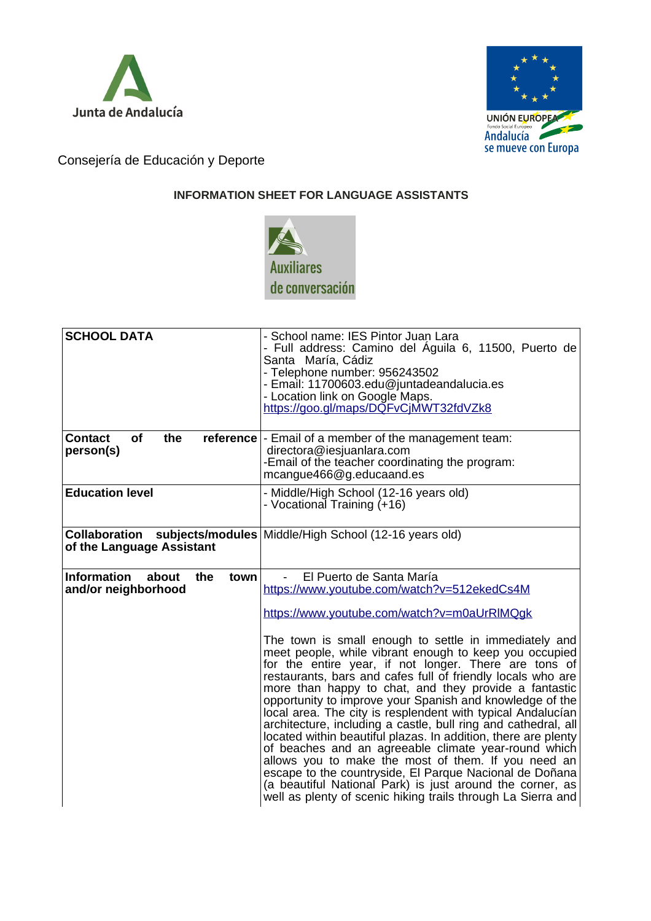



Consejería de Educación y Deporte

## **INFORMATION SHEET FOR LANGUAGE ASSISTANTS**



| <b>SCHOOL DATA</b>                                                | - School name: IES Pintor Juan Lara<br>- Full address: Camino del Águila 6, 11500, Puerto de<br>Santa María, Cádiz<br>- Telephone number: 956243502<br>- Email: 11700603.edu@juntadeandalucia.es<br>- Location link on Google Maps.<br>https://goo.gl/maps/DQFvCjMWT32fdVZk8                                                                                                                                                                                                                                                                                                                                                                                                                                                                                                                                                                                                                                                                                                                     |
|-------------------------------------------------------------------|--------------------------------------------------------------------------------------------------------------------------------------------------------------------------------------------------------------------------------------------------------------------------------------------------------------------------------------------------------------------------------------------------------------------------------------------------------------------------------------------------------------------------------------------------------------------------------------------------------------------------------------------------------------------------------------------------------------------------------------------------------------------------------------------------------------------------------------------------------------------------------------------------------------------------------------------------------------------------------------------------|
| of<br><b>Contact</b><br>the<br>person(s)                          | <b>reference</b> - Email of a member of the management team:<br>directora@iesjuanlara.com<br>-Email of the teacher coordinating the program:<br>mcangue466@g.educaand.es                                                                                                                                                                                                                                                                                                                                                                                                                                                                                                                                                                                                                                                                                                                                                                                                                         |
| <b>Education level</b>                                            | - Middle/High School (12-16 years old)<br>- Vocational Training (+16)                                                                                                                                                                                                                                                                                                                                                                                                                                                                                                                                                                                                                                                                                                                                                                                                                                                                                                                            |
| Collaboration<br>of the Language Assistant                        | subjects/modules   Middle/High School (12-16 years old)                                                                                                                                                                                                                                                                                                                                                                                                                                                                                                                                                                                                                                                                                                                                                                                                                                                                                                                                          |
| <b>Information</b><br>about<br>town<br>the<br>and/or neighborhood | El Puerto de Santa María<br>https://www.youtube.com/watch?v=512ekedCs4M<br>https://www.youtube.com/watch?v=m0aUrRIMQqk<br>The town is small enough to settle in immediately and<br>meet people, while vibrant enough to keep you occupied<br>for the entire year, if not longer. There are tons of<br>restaurants, bars and cafes full of friendly locals who are<br>more than happy to chat, and they provide a fantastic<br>opportunity to improve your Spanish and knowledge of the<br>local area. The city is resplendent with typical Andalucían<br>architecture, including a castle, bull ring and cathedral, all<br>located within beautiful plazas. In addition, there are plenty<br>of beaches and an agreeable climate year-round which<br>allows you to make the most of them. If you need an<br>escape to the countryside, El Parque Nacional de Doñana<br>(a beautiful National Park) is just around the corner, as<br>well as plenty of scenic hiking trails through La Sierra and |